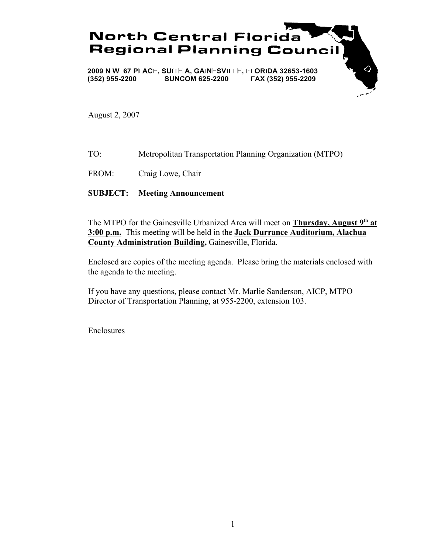

August 2, 2007

- TO: Metropolitan Transportation Planning Organization (MTPO)
- FROM: Craig Lowe, Chair

# **SUBJECT: Meeting Announcement**

The MTPO for the Gainesville Urbanized Area will meet on **Thursday, August 9th at 3:00 p.m.** This meeting will be held in the **Jack Durrance Auditorium, Alachua County Administration Building,** Gainesville, Florida.

Enclosed are copies of the meeting agenda. Please bring the materials enclosed with the agenda to the meeting.

If you have any questions, please contact Mr. Marlie Sanderson, AICP, MTPO Director of Transportation Planning, at 955-2200, extension 103.

Enclosures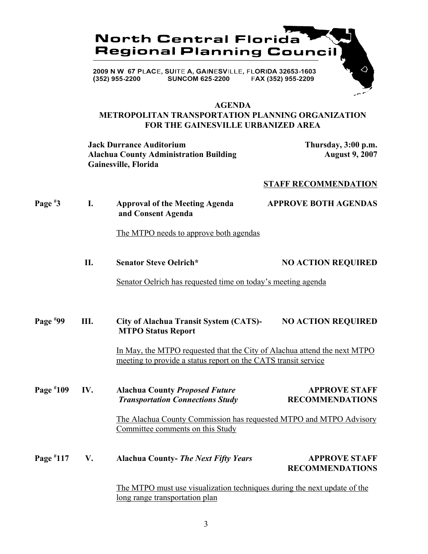

#### **AGENDA METROPOLITAN TRANSPORTATION PLANNING ORGANIZATION FOR THE GAINESVILLE URBANIZED AREA**

**Jack Durrance Auditorium Thursday, 3:00 p.m. Alachua County Administration Building Gainesville, Florida**

## **STAFF RECOMMENDATION**

| Page $*3$   | I.  | <b>Approval of the Meeting Agenda</b><br>and Consent Agenda                                                                                | <b>APPROVE BOTH AGENDAS</b>                    |
|-------------|-----|--------------------------------------------------------------------------------------------------------------------------------------------|------------------------------------------------|
|             |     | The MTPO needs to approve both agendas                                                                                                     |                                                |
|             | II. | <b>Senator Steve Oelrich*</b>                                                                                                              | <b>NO ACTION REQUIRED</b>                      |
|             |     | Senator Oelrich has requested time on today's meeting agenda                                                                               |                                                |
| Page $*99$  | Ш.  | <b>City of Alachua Transit System (CATS)-</b><br><b>MTPO Status Report</b>                                                                 | <b>NO ACTION REQUIRED</b>                      |
|             |     | In May, the MTPO requested that the City of Alachua attend the next MTPO<br>meeting to provide a status report on the CATS transit service |                                                |
| Page $*109$ | IV. | <b>Alachua County Proposed Future</b><br><b>Transportation Connections Study</b>                                                           | <b>APPROVE STAFF</b><br><b>RECOMMENDATIONS</b> |
|             |     | The Alachua County Commission has requested MTPO and MTPO Advisory<br>Committee comments on this Study                                     |                                                |
| Page #117   | V.  | <b>Alachua County- The Next Fifty Years</b>                                                                                                | <b>APPROVE STAFF</b><br><b>RECOMMENDATIONS</b> |
|             |     | The MTPO must use visualization techniques during the next update of the<br><u>long range transportation plan</u>                          |                                                |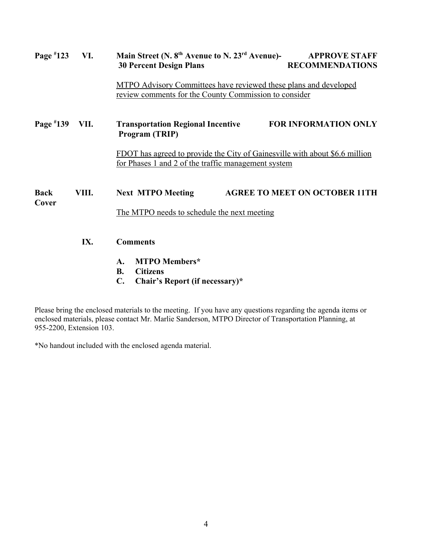| Page $*123$          | VI.                                                                                                                       | Main Street (N. 8 <sup>th</sup> Avenue to N. 23 <sup>rd</sup> Avenue)-<br><b>APPROVE STAFF</b><br><b>RECOMMENDATIONS</b><br><b>30 Percent Design Plans</b> |  |
|----------------------|---------------------------------------------------------------------------------------------------------------------------|------------------------------------------------------------------------------------------------------------------------------------------------------------|--|
|                      | MTPO Advisory Committees have reviewed these plans and developed<br>review comments for the County Commission to consider |                                                                                                                                                            |  |
| Page $*139$          | VII.                                                                                                                      | FOR INFORMATION ONLY<br><b>Transportation Regional Incentive</b><br>Program (TRIP)                                                                         |  |
|                      |                                                                                                                           | FDOT has agreed to provide the City of Gainesville with about \$6.6 million<br>for Phases 1 and 2 of the traffic management system                         |  |
| <b>Back</b><br>Cover | VIII.                                                                                                                     | <b>AGREE TO MEET ON OCTOBER 11TH</b><br><b>Next MTPO Meeting</b>                                                                                           |  |
|                      |                                                                                                                           | The MTPO needs to schedule the next meeting                                                                                                                |  |
|                      | IX.                                                                                                                       | <b>Comments</b>                                                                                                                                            |  |
|                      |                                                                                                                           | <b>MTPO</b> Members*<br>A.<br><b>Citizens</b><br><b>B.</b><br>$\mathbf{C}$ .<br>Chair's Report (if necessary)*                                             |  |

Please bring the enclosed materials to the meeting. If you have any questions regarding the agenda items or enclosed materials, please contact Mr. Marlie Sanderson, MTPO Director of Transportation Planning, at 955-2200, Extension 103.

\*No handout included with the enclosed agenda material.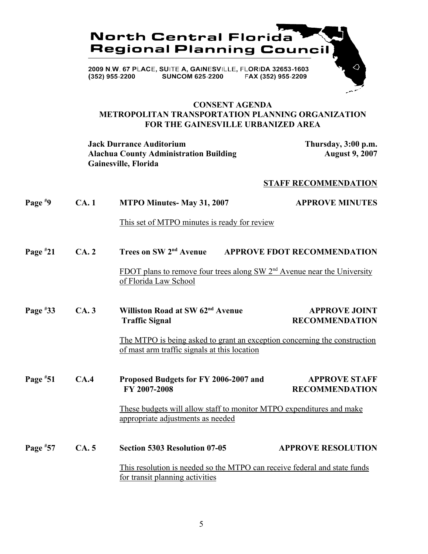

## **CONSENT AGENDA METROPOLITAN TRANSPORTATION PLANNING ORGANIZATION FOR THE GAINESVILLE URBANIZED AREA**

**Jack Durrance Auditorium Thursday, 3:00 p.m.** Alachua County Administration Building **August 9, 2007 Gainesville, Florida**

#### **STAFF RECOMMENDATION**

| Page $*9$  | CA.1 | MTPO Minutes-May 31, 2007                                                                                                 | <b>APPROVE MINUTES</b>                        |
|------------|------|---------------------------------------------------------------------------------------------------------------------------|-----------------------------------------------|
|            |      | This set of MTPO minutes is ready for review                                                                              |                                               |
| Page $*21$ | CA.2 | Trees on SW 2 <sup>nd</sup> Avenue                                                                                        | <b>APPROVE FDOT RECOMMENDATION</b>            |
|            |      | FDOT plans to remove four trees along SW 2 <sup>nd</sup> Avenue near the University<br>of Florida Law School              |                                               |
| Page $*33$ | CA.3 | Williston Road at SW 62 <sup>nd</sup> Avenue<br><b>Traffic Signal</b>                                                     | <b>APPROVE JOINT</b><br><b>RECOMMENDATION</b> |
|            |      | The MTPO is being asked to grant an exception concerning the construction<br>of mast arm traffic signals at this location |                                               |
| Page $*51$ | CA.4 | Proposed Budgets for FY 2006-2007 and<br>FY 2007-2008                                                                     | <b>APPROVE STAFF</b><br><b>RECOMMENDATION</b> |
|            |      | These budgets will allow staff to monitor MTPO expenditures and make<br>appropriate adjustments as needed                 |                                               |
| Page $*57$ | CA.5 | <b>Section 5303 Resolution 07-05</b>                                                                                      | <b>APPROVE RESOLUTION</b>                     |
|            |      | This resolution is needed so the MTPO can receive federal and state funds                                                 |                                               |
|            |      | for transit planning activities                                                                                           |                                               |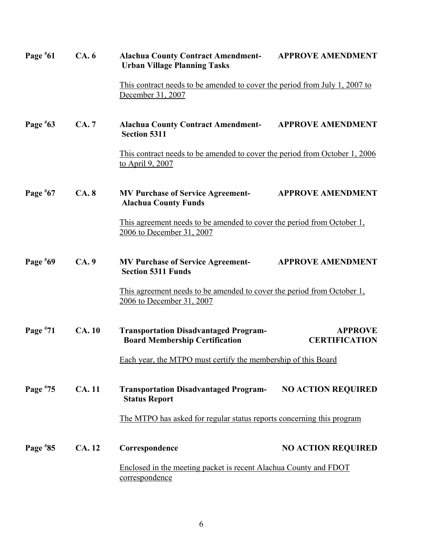| Page $*61$                                                                         | CA.6          | <b>Alachua County Contract Amendment-</b><br><b>Urban Village Planning Tasks</b>                    | <b>APPROVE AMENDMENT</b>               |  |
|------------------------------------------------------------------------------------|---------------|-----------------------------------------------------------------------------------------------------|----------------------------------------|--|
|                                                                                    |               | This contract needs to be amended to cover the period from July 1, 2007 to<br>December 31, 2007     |                                        |  |
| Page $*63$                                                                         | CA.7          | <b>Alachua County Contract Amendment-</b><br><b>Section 5311</b>                                    | <b>APPROVE AMENDMENT</b>               |  |
|                                                                                    |               | This contract needs to be amended to cover the period from October 1, 2006<br>to April 9, 2007      |                                        |  |
| Page $*67$                                                                         | CA.8          | <b>MV Purchase of Service Agreement-</b><br><b>Alachua County Funds</b>                             | <b>APPROVE AMENDMENT</b>               |  |
|                                                                                    |               | This agreement needs to be amended to cover the period from October 1,<br>2006 to December 31, 2007 |                                        |  |
| Page #69                                                                           | CA.9          | <b>MV Purchase of Service Agreement-</b><br><b>Section 5311 Funds</b>                               | <b>APPROVE AMENDMENT</b>               |  |
|                                                                                    |               | This agreement needs to be amended to cover the period from October 1,<br>2006 to December 31, 2007 |                                        |  |
| Page $*71$                                                                         | <b>CA.10</b>  | <b>Transportation Disadvantaged Program-</b><br><b>Board Membership Certification</b>               | <b>APPROVE</b><br><b>CERTIFICATION</b> |  |
|                                                                                    |               | Each year, the MTPO must certify the membership of this Board                                       |                                        |  |
| Page $*75$                                                                         | <b>CA.11</b>  | <b>Transportation Disadvantaged Program-</b><br><b>Status Report</b>                                | <b>NO ACTION REQUIRED</b>              |  |
|                                                                                    |               | The MTPO has asked for regular status reports concerning this program                               |                                        |  |
| Page $*85$                                                                         | <b>CA.</b> 12 | Correspondence                                                                                      | <b>NO ACTION REQUIRED</b>              |  |
| Enclosed in the meeting packet is recent Alachua County and FDOT<br>correspondence |               |                                                                                                     |                                        |  |